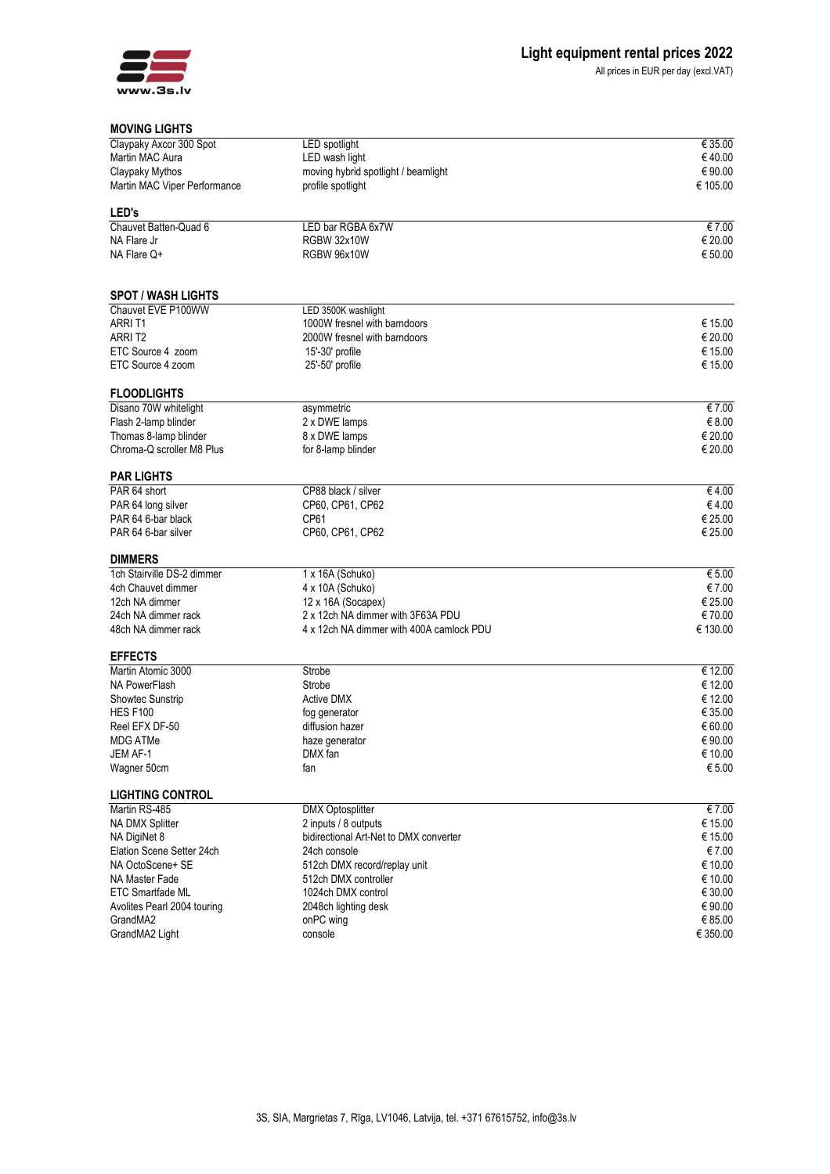

All prices in EUR per day (excl.VAT)

## **MOVING LIGHTS**

| טוחטום טאוויט                |                                          |          |
|------------------------------|------------------------------------------|----------|
| Claypaky Axcor 300 Spot      | LED spotlight                            | € 35.00  |
| Martin MAC Aura              | LED wash light                           | €40.00   |
| Claypaky Mythos              | moving hybrid spotlight / beamlight      | € 90.00  |
| Martin MAC Viper Performance | profile spotlight                        | € 105.00 |
|                              |                                          |          |
| <b>LED's</b>                 |                                          |          |
| Chauvet Batten-Quad 6        | LED bar RGBA 6x7W                        | € 7.00   |
| NA Flare Jr                  | <b>RGBW 32x10W</b>                       | € 20.00  |
| NA Flare Q+                  | <b>RGBW 96x10W</b>                       | € 50.00  |
| <b>SPOT / WASH LIGHTS</b>    |                                          |          |
| Chauvet EVE P100WW           | LED 3500K washlight                      |          |
| ARRI T1                      | 1000W fresnel with barndoors             | € 15.00  |
| ARRIT <sub>2</sub>           | 2000W fresnel with barndoors             | € 20.00  |
| ETC Source 4 zoom            | 15'-30' profile                          | € 15.00  |
|                              |                                          |          |
| ETC Source 4 zoom            | 25'-50' profile                          | € 15.00  |
| <b>FLOODLIGHTS</b>           |                                          |          |
| Disano 70W whitelight        | asymmetric                               | € 7.00   |
| Flash 2-lamp blinder         | 2 x DWE lamps                            | € 8.00   |
| Thomas 8-lamp blinder        | 8 x DWE lamps                            | € 20.00  |
| Chroma-Q scroller M8 Plus    | for 8-lamp blinder                       | € 20.00  |
| <b>PAR LIGHTS</b>            |                                          |          |
| PAR 64 short                 | CP88 black / silver                      | €4.00    |
| PAR 64 long silver           | CP60, CP61, CP62                         | €4.00    |
| PAR 64 6-bar black           | CP61                                     | € 25.00  |
| PAR 64 6-bar silver          | CP60, CP61, CP62                         | € 25.00  |
| <b>DIMMERS</b>               |                                          |          |
| 1ch Stairville DS-2 dimmer   | 1 x 16A (Schuko)                         | € 5.00   |
| 4ch Chauvet dimmer           | 4 x 10A (Schuko)                         | € 7.00   |
| 12ch NA dimmer               | 12 x 16A (Socapex)                       | € 25.00  |
| 24ch NA dimmer rack          | 2 x 12ch NA dimmer with 3F63A PDU        | €70.00   |
| 48ch NA dimmer rack          | 4 x 12ch NA dimmer with 400A camlock PDU | € 130.00 |
|                              |                                          |          |
| <b>EFFECTS</b>               |                                          |          |
| Martin Atomic 3000           | Strobe                                   | € 12.00  |
| NA PowerFlash                | Strobe                                   | € 12.00  |
| Showtec Sunstrip             | <b>Active DMX</b>                        | € 12.00  |
| <b>HES F100</b>              | fog generator                            | € 35.00  |
| Reel EFX DF-50               | diffusion hazer                          | € 60.00  |
| <b>MDG ATMe</b>              | haze generator                           | € 90.00  |
| JEM AF-1                     | DMX fan                                  | € 10.00  |
| Wagner 50cm                  | fan                                      | € 5.00   |
| <b>LIGHTING CONTROL</b>      |                                          |          |
| Martin RS-485                | <b>DMX Optosplitter</b>                  | €7.00    |
| <b>NA DMX Splitter</b>       | 2 inputs / 8 outputs                     | € 15.00  |
| NA DigiNet 8                 | bidirectional Art-Net to DMX converter   | € 15.00  |
|                              |                                          |          |
| Elation Scene Setter 24ch    | 24ch console                             | €7.00    |
| NA OctoScene+ SE             | 512ch DMX record/replay unit             | € 10.00  |
| NA Master Fade               | 512ch DMX controller                     | € 10.00  |
| <b>ETC Smartfade ML</b>      | 1024ch DMX control                       | € 30.00  |
| Avolites Pearl 2004 touring  | 2048ch lighting desk                     | € 90.00  |
| GrandMA2                     | onPC wing                                | € 85.00  |
| GrandMA2 Light               | console                                  | € 350.00 |
|                              |                                          |          |